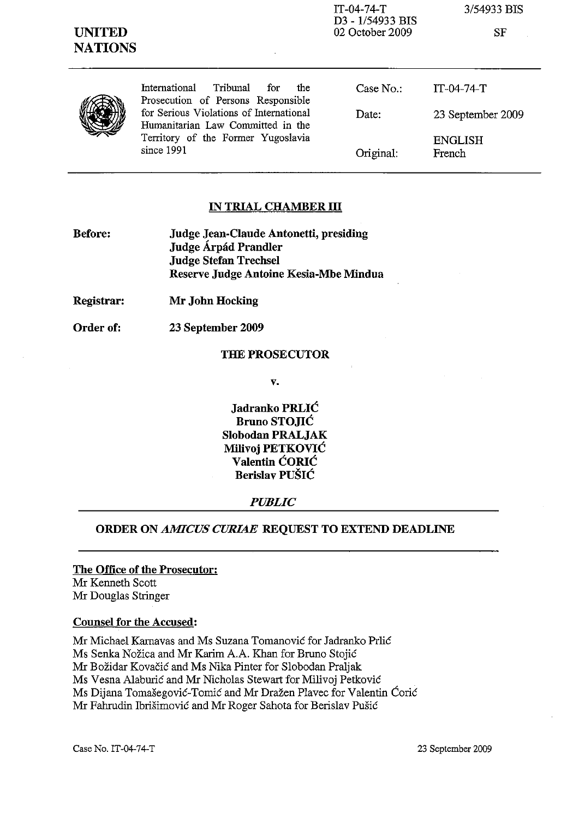| <b>UNITED</b><br><b>NATIONS</b> |                                                                               | $IT-04-74-T$<br>D3 - 1/54933 BIS<br>02 October 2009 | 3/54933 BIS<br>SF        |
|---------------------------------|-------------------------------------------------------------------------------|-----------------------------------------------------|--------------------------|
|                                 | International<br>Tribunal<br>for<br>the<br>Prosecution of Persons Responsible | Case No.                                            | $IT-04-74-T$             |
|                                 | for Serious Violations of International<br>Humanitarian Law Committed in the  | Date:                                               | 23 September 2009        |
|                                 | Territory of the Former Yugoslavia<br>since 1991                              | Original:                                           | <b>ENGLISH</b><br>French |

#### IN TRIAL CHAMBER **III**

| <b>Before:</b> | Judge Jean-Claude Antonetti, presiding |  |
|----------------|----------------------------------------|--|
|                | Judge Árpád Prandler                   |  |
|                | <b>Judge Stefan Trechsel</b>           |  |
|                | Reserve Judge Antoine Kesia-Mbe Mindua |  |

Registrar: Mr John Hocking

Order of: 23 September 2009

#### THE PROSECUTOR

v.

Jadranko PRLIC Bruno STOJIC Slohodan PRALJAK Milivoj PETKOVIC Valentin CORIC Berislav PUSIC

## *PUBLIC*

#### ORDER ON *AMICUS CURIAE* REQUEST TO EXTEND DEADLINE

# The Office of the Prosecutor: Mr Kenneth Scott

Mr Douglas Stringer

### Counsel for the Accused:

Mr Michael Karnavas and Ms Suzana Tomanovic for Iadranko Prlic Ms Senka Nožica and Mr Karim A.A. Khan for Bruno Stojić Mr Bozidar Kovacic and Ms Nika Pinter for Slobodan Praljak Ms Vesna Alaburic and Mr Nicholas Stewart for Milivoj Petkovic Ms Dijana Tomasegovic-Tomic and Mr Drazen Plavec for Valentin Coric Mr Fahrudin Ibrisimovic and Mr Roger Sahota for Berislav Pusic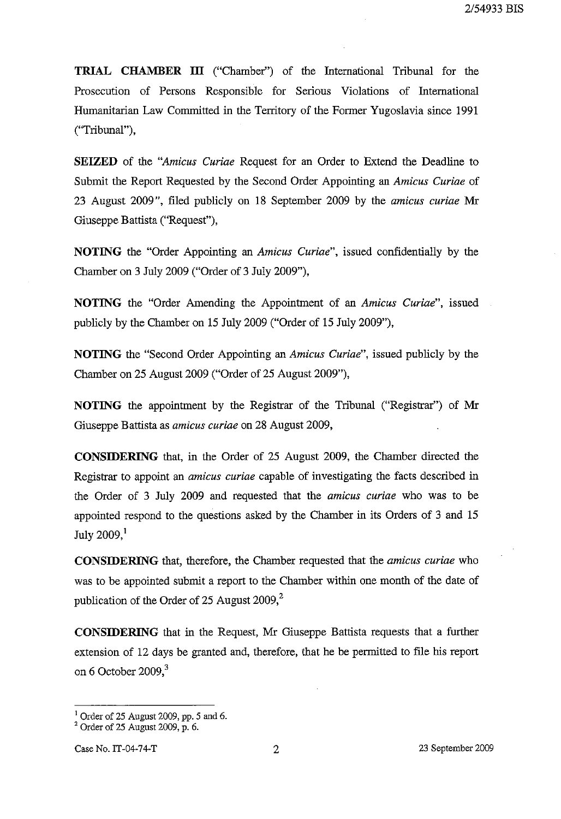**TRIAL CHAMBER ill** ("Chamber") of the International Tribunal for the Prosecution of Persons Responsible for Serious Violations of International Humanitarian Law Committed in the Territory of the Former Yugoslavia since 1991 ("Tribunal"),

**SEIZED** of the *"Amicus Curiae* Request for an Order to Extend the Deadline to Submit the Report Requested by the Second Order Appointing an *Amicus Curiae* of 23 August 2009", filed publicly on 18 September 2009 by the *amicus curiae* Mr Giuseppe Battista ("Request"),

**NOTING** the "Order Appointing an *Amicus Curiae",* issued confidentially by the Chamber on 3 July 2009 ("Order of 3 July 2009"),

**NOTING** the "Order Amending the Appointment of an *Amicus Curiae",* issued publicly by the Chamber on 15 July 2009 ("Order of 15 July 2009"),

**NOTING** the "Second Order Appointing an *Amicus Curiae",* issued publicly by the Chamber on 25 August 2009 ("Order of 25 August 2009"),

**NOTING** the appointment by the Registrar of the Tribunal ("Registrar") of Mr Giuseppe Battista as *amicus curiae* on 28 August 2009,

**CONSIDERING** that, in the Order of 25 August 2009, the Chamber directed the Registrar to appoint an *amicus curiae* capable of investigating the facts described in the Order of 3 July 2009 and requested that the *amicus curiae* who was to be appointed respond to the questions asked by the Chamber in its Orders of 3 and 15 July 2009,<sup>1</sup>

**CONSIDERING** that, therefore, the Chamber requested that the *amicus curiae* who was to be appointed submit a report to the Chamber within one month of the date of publication of the Order of 25 August 2009,<sup>2</sup>

**CONSIDERING** that in the Request, Mr Giuseppe Battista requests that a further extension of 12 days be granted and, therefore, that he be permitted to file his report on 6 October 2009, $3$ 

 $<sup>1</sup>$  Order of 25 August 2009, pp. 5 and 6.</sup>

 $2^2$  Order of 25 August 2009, p. 6.